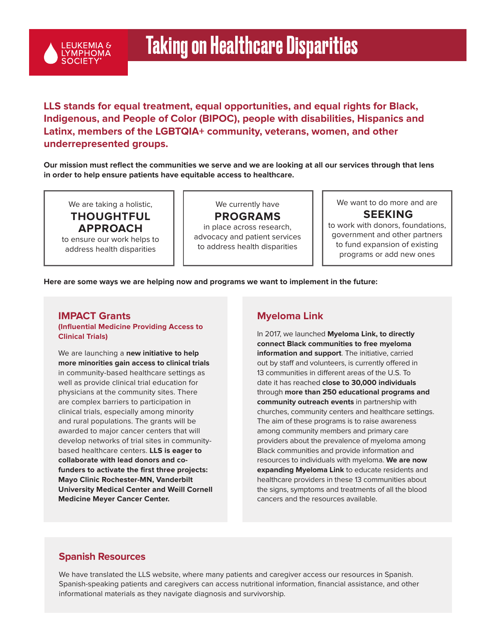

## **LLS stands for equal treatment, equal opportunities, and equal rights for Black, Indigenous, and People of Color (BIPOC), people with disabilities, Hispanics and Latinx, members of the LGBTQIA+ community, veterans, women, and other underrepresented groups.**

**Our mission must reflect the communities we serve and we are looking at all our services through that lens in order to help ensure patients have equitable access to healthcare.** 

We are taking a holistic, **THOUGHTFUL APPROACH** to ensure our work helps to address health disparities

We currently have **PROGRAMS**  in place across research, advocacy and patient services to address health disparities

We want to do more and are **SEEKING**

to work with donors, foundations, government and other partners to fund expansion of existing programs or add new ones

#### **Here are some ways we are helping now and programs we want to implement in the future:**

#### **IMPACT Grants (Influential Medicine Providing Access to Clinical Trials)**

We are launching a **new initiative to help more minorities gain access to clinical trials** in community-based healthcare settings as well as provide clinical trial education for physicians at the community sites. There are complex barriers to participation in clinical trials, especially among minority and rural populations. The grants will be awarded to major cancer centers that will develop networks of trial sites in communitybased healthcare centers. **LLS is eager to collaborate with lead donors and cofunders to activate the first three projects: Mayo Clinic Rochester-MN, Vanderbilt University Medical Center and Weill Cornell Medicine Meyer Cancer Center.**

#### **Myeloma Link**

In 2017, we launched **Myeloma Link, to directly connect Black communities to free myeloma information and support**. The initiative, carried out by staff and volunteers, is currently offered in 13 communities in different areas of the U.S. To date it has reached **close to 30,000 individuals** through **more than 250 educational programs and community outreach events** in partnership with churches, community centers and healthcare settings. The aim of these programs is to raise awareness among community members and primary care providers about the prevalence of myeloma among Black communities and provide information and resources to individuals with myeloma. **We are now expanding Myeloma Link** to educate residents and healthcare providers in these 13 communities about the signs, symptoms and treatments of all the blood cancers and the resources available.

#### **Spanish Resources**

We have translated the LLS website, where many patients and caregiver access our resources in Spanish. Spanish-speaking patients and caregivers can access nutritional information, financial assistance, and other informational materials as they navigate diagnosis and survivorship.